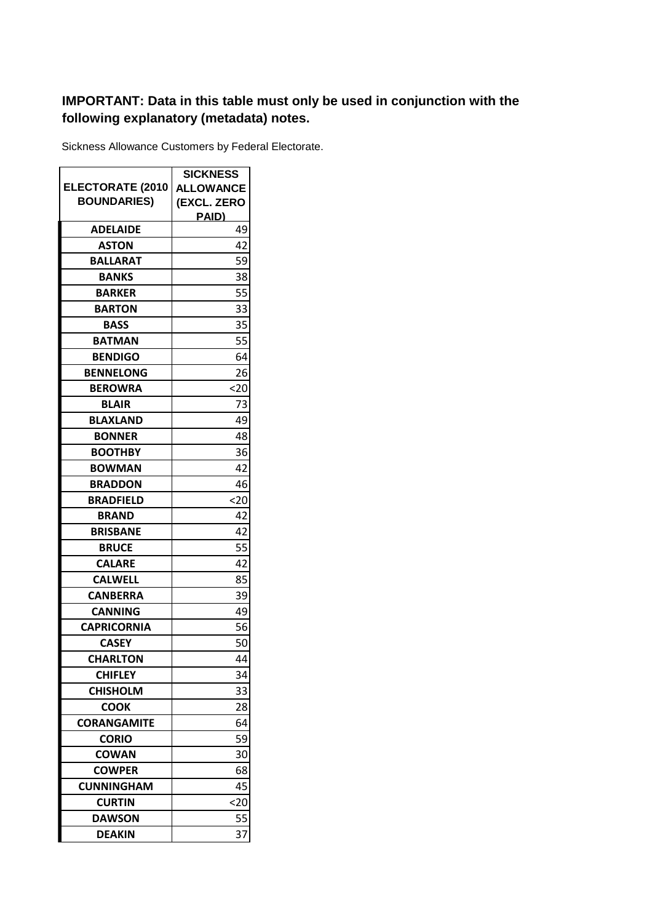## **IMPORTANT: Data in this table must only be used in conjunction with the following explanatory (metadata) notes.**

Sickness Allowance Customers by Federal Electorate.

|                         | <b>SICKNESS</b>  |
|-------------------------|------------------|
| <b>ELECTORATE (2010</b> | <b>ALLOWANCE</b> |
| <b>BOUNDARIES)</b>      | (EXCL. ZERO      |
|                         | PAID)            |
| <b>ADELAIDE</b>         | 49               |
| <b>ASTON</b>            | 42               |
| <b>BALLARAT</b>         | 59               |
| <b>BANKS</b>            | 38               |
| <b>BARKER</b>           | 55               |
| <b>BARTON</b>           | 33               |
| <b>BASS</b>             | 35               |
| BATMAN                  | 55               |
| <b>BENDIGO</b>          | 64               |
| <b>BENNELONG</b>        | 26               |
| <b>BEROWRA</b>          | <20              |
| <b>BLAIR</b>            | 73               |
| <b>BLAXLAND</b>         | 49               |
| <b>BONNER</b>           | 48               |
| <b>BOOTHBY</b>          | 36               |
| <b>BOWMAN</b>           | 42               |
| <b>BRADDON</b>          | 46               |
| <b>BRADFIELD</b>        | <20              |
| <b>BRAND</b>            | 42               |
| <b>BRISBANE</b>         | 42               |
| <b>BRUCE</b>            | 55               |
| <b>CALARE</b>           | 42               |
| <b>CALWELL</b>          | 85               |
| <b>CANBERRA</b>         | 39               |
| <b>CANNING</b>          | 49               |
| <b>CAPRICORNIA</b>      | 56               |
| <b>CASEY</b>            | 50               |
| <b>CHARLTON</b>         | 44               |
| <b>CHIFLEY</b>          | 34               |
| <b>CHISHOLM</b>         | 33               |
| <b>COOK</b>             | 28               |
| <b>CORANGAMITE</b>      | 64               |
| <b>CORIO</b>            | 59               |
| <b>COWAN</b>            | 30               |
| <b>COWPER</b>           | 68               |
| <b>CUNNINGHAM</b>       | 45               |
| <b>CURTIN</b>           | <20              |
| <b>DAWSON</b>           | 55               |
| <b>DEAKIN</b>           | 37               |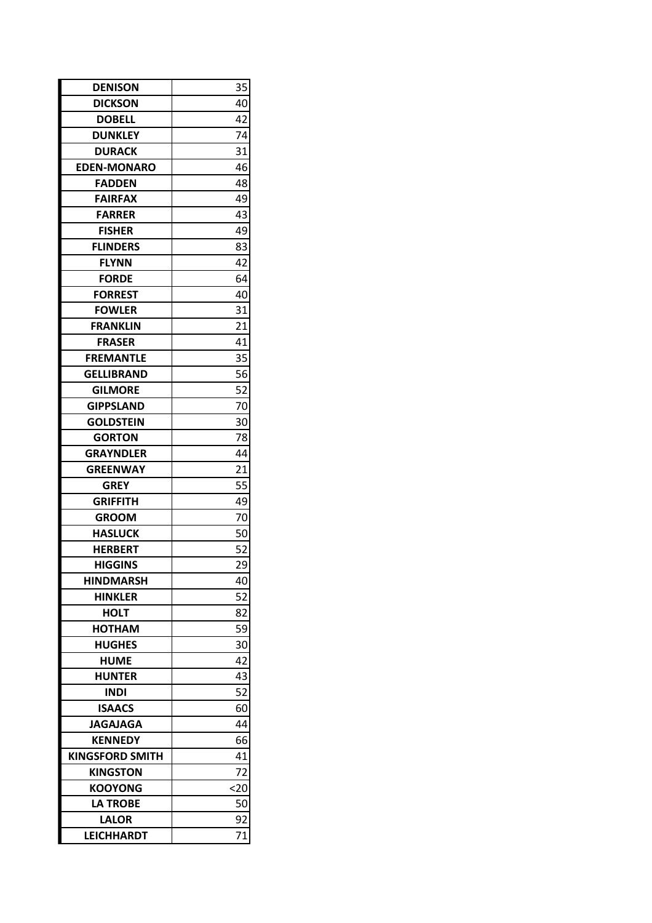| <b>DENISON</b>         | 35   |
|------------------------|------|
| <b>DICKSON</b>         | 40   |
| <b>DOBELL</b>          | 42   |
| <b>DUNKLEY</b>         | 74   |
| <b>DURACK</b>          | 31   |
| <b>EDEN-MONARO</b>     | 46   |
| <b>FADDEN</b>          | 48   |
| <b>FAIRFAX</b>         | 49   |
| <b>FARRER</b>          | 43   |
| <b>FISHER</b>          | 49   |
| <b>FLINDERS</b>        | 83   |
| <b>FLYNN</b>           | 42   |
| <b>FORDE</b>           | 64   |
| <b>FORREST</b>         | 40   |
| <b>FOWLER</b>          | 31   |
| <b>FRANKLIN</b>        | 21   |
| <b>FRASER</b>          | 41   |
| <b>FREMANTLE</b>       | 35   |
| <b>GELLIBRAND</b>      | 56   |
| <b>GILMORE</b>         | 52   |
| <b>GIPPSLAND</b>       | 70   |
| GOLDSTEIN              | 30   |
| <b>GORTON</b>          | 78   |
| <b>GRAYNDLER</b>       | 44   |
| <b>GREENWAY</b>        | 21   |
| <b>GREY</b>            | 55   |
| <b>GRIFFITH</b>        | 49   |
| <b>GROOM</b>           | 70   |
| <b>HASLUCK</b>         | 50   |
| <b>HERBERT</b>         | 52   |
| <b>HIGGINS</b>         | 29   |
| <b>HINDMARSH</b>       | 40   |
| <b>HINKLER</b>         | 52   |
| HOLT                   | 82   |
| HOTHAM                 | 59   |
| <b>HUGHES</b>          | 30   |
| <b>HUME</b>            | 42   |
| <b>HUNTER</b>          | 43   |
| <b>INDI</b>            | 52   |
| <b>ISAACS</b>          | 60   |
| <b>JAGAJAGA</b>        | 44   |
| <b>KENNEDY</b>         | 66   |
| <b>KINGSFORD SMITH</b> | 41   |
| <b>KINGSTON</b>        | 72   |
| <b>KOOYONG</b>         | $20$ |
| <b>LA TROBE</b>        | 50   |
| <b>LALOR</b>           | 92   |
| <b>LEICHHARDT</b>      | 71   |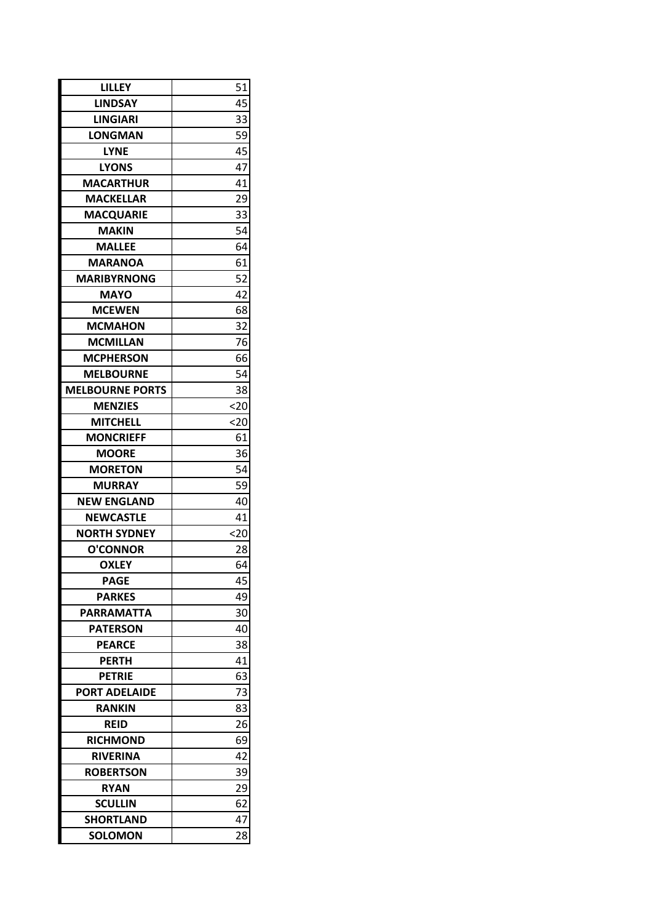| LILLEY                 | 51   |
|------------------------|------|
| <b>LINDSAY</b>         | 45   |
| <b>LINGIARI</b>        | 33   |
| LONGMAN                | 59   |
| <b>LYNE</b>            | 45   |
| LYONS                  | 47   |
| <b>MACARTHUR</b>       | 41   |
| <b>MACKELLAR</b>       | 29   |
| <b>MACQUARIE</b>       | 33   |
| <b>MAKIN</b>           | 54   |
| <b>MALLEE</b>          | 64   |
| <b>MARANOA</b>         | 61   |
| <b>MARIBYRNONG</b>     | 52   |
| <b>MAYO</b>            | 42   |
| <b>MCEWEN</b>          | 68   |
| <b>MCMAHON</b>         | 32   |
| <b>MCMILLAN</b>        | 76   |
| <b>MCPHERSON</b>       | 66   |
| <b>MELBOURNE</b>       | 54   |
| <b>MELBOURNE PORTS</b> | 38   |
| <b>MENZIES</b>         | $20$ |
| <b>MITCHELL</b>        | <20  |
| <b>MONCRIEFF</b>       | 61   |
| <b>MOORE</b>           | 36   |
| <b>MORETON</b>         | 54   |
| <b>MURRAY</b>          | 59   |
| <b>NEW ENGLAND</b>     | 40   |
| <b>NEWCASTLE</b>       | 41   |
| <b>NORTH SYDNEY</b>    | <20  |
| <b>O'CONNOR</b>        | 28   |
| <b>OXLEY</b>           | 64   |
| <b>PAGE</b>            | 45   |
| <b>PARKES</b>          | 49   |
| PARRAMATTA             | 30   |
| PATERSON               | 40   |
| <b>PEARCE</b>          | 38   |
| <b>PERTH</b>           | 41   |
| <b>PETRIE</b>          | 63   |
| <b>PORT ADELAIDE</b>   | 73   |
| <b>RANKIN</b>          | 83   |
| REID                   | 26   |
| <b>RICHMOND</b>        | 69   |
| <b>RIVERINA</b>        | 42   |
| <b>ROBERTSON</b>       | 39   |
| <b>RYAN</b>            | 29   |
| SCULLIN                | 62   |
| <b>SHORTLAND</b>       | 47   |
| <b>SOLOMON</b>         | 28   |